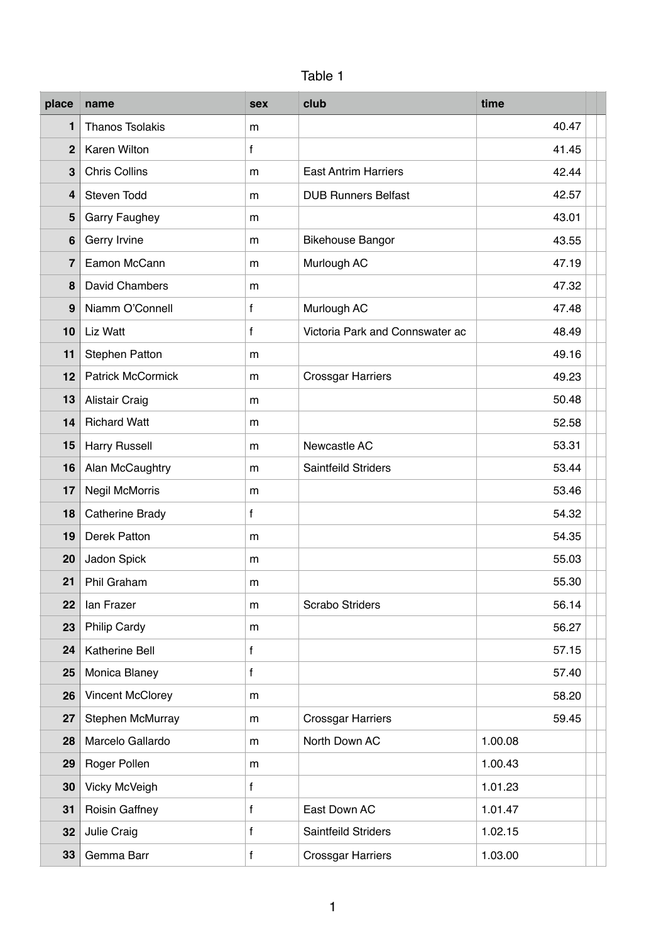| Table 1 |  |
|---------|--|

| place                   | name                     | <b>sex</b>   | club                            | time    |
|-------------------------|--------------------------|--------------|---------------------------------|---------|
| 1                       | <b>Thanos Tsolakis</b>   | m            |                                 | 40.47   |
| $\overline{2}$          | Karen Wilton             | $\mathsf{f}$ |                                 | 41.45   |
| 3                       | <b>Chris Collins</b>     | m            | <b>East Antrim Harriers</b>     | 42.44   |
| $\overline{\mathbf{4}}$ | Steven Todd              | m            | <b>DUB Runners Belfast</b>      | 42.57   |
| 5                       | <b>Garry Faughey</b>     | m            |                                 | 43.01   |
| $6\phantom{1}$          | Gerry Irvine             | m            | <b>Bikehouse Bangor</b>         | 43.55   |
| $\overline{7}$          | Eamon McCann             | m            | Murlough AC                     | 47.19   |
| 8                       | David Chambers           | m            |                                 | 47.32   |
| 9                       | Niamm O'Connell          | f            | Murlough AC                     | 47.48   |
| 10                      | Liz Watt                 | $\mathbf{f}$ | Victoria Park and Connswater ac | 48.49   |
| 11                      | <b>Stephen Patton</b>    | m            |                                 | 49.16   |
| 12                      | <b>Patrick McCormick</b> | m            | <b>Crossgar Harriers</b>        | 49.23   |
| 13                      | Alistair Craig           | m            |                                 | 50.48   |
| 14                      | <b>Richard Watt</b>      | m            |                                 | 52.58   |
| 15                      | <b>Harry Russell</b>     | m            | Newcastle AC                    | 53.31   |
| 16                      | Alan McCaughtry          | m            | Saintfeild Striders             | 53.44   |
| 17                      | <b>Negil McMorris</b>    | m            |                                 | 53.46   |
| 18                      | <b>Catherine Brady</b>   | f            |                                 | 54.32   |
| 19                      | <b>Derek Patton</b>      | m            |                                 | 54.35   |
| 20                      | Jadon Spick              | m            |                                 | 55.03   |
| 21                      | <b>Phil Graham</b>       | m            |                                 | 55.30   |
| 22                      | lan Frazer               | m            | Scrabo Striders                 | 56.14   |
| 23                      | <b>Philip Cardy</b>      | m            |                                 | 56.27   |
| 24                      | <b>Katherine Bell</b>    | f            |                                 | 57.15   |
| 25                      | Monica Blaney            | $\mathbf f$  |                                 | 57.40   |
| 26                      | <b>Vincent McClorey</b>  | m            |                                 | 58.20   |
| 27                      | Stephen McMurray         | m            | <b>Crossgar Harriers</b>        | 59.45   |
| 28                      | Marcelo Gallardo         | m            | North Down AC                   | 1.00.08 |
| 29                      | Roger Pollen             | m            |                                 | 1.00.43 |
| 30                      | <b>Vicky McVeigh</b>     | $\mathbf f$  |                                 | 1.01.23 |
| 31                      | <b>Roisin Gaffney</b>    | f            | East Down AC                    | 1.01.47 |
| 32                      | Julie Craig              | f            | Saintfeild Striders             | 1.02.15 |
| 33                      | Gemma Barr               | $\mathsf f$  | <b>Crossgar Harriers</b>        | 1.03.00 |